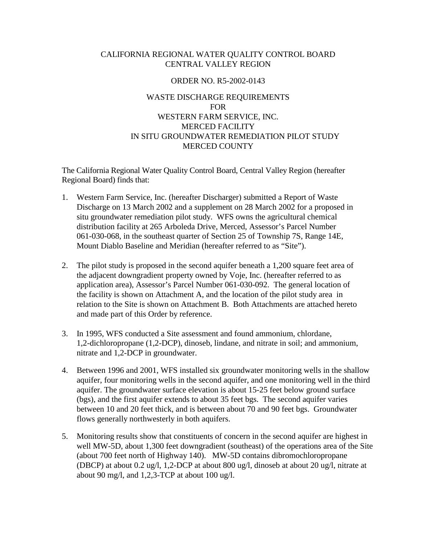### CALIFORNIA REGIONAL WATER QUALITY CONTROL BOARD CENTRAL VALLEY REGION

#### ORDER NO. R5-2002-0143

# WASTE DISCHARGE REQUIREMENTS FOR WESTERN FARM SERVICE, INC. MERCED FACILITY IN SITU GROUNDWATER REMEDIATION PILOT STUDY MERCED COUNTY

The California Regional Water Quality Control Board, Central Valley Region (hereafter Regional Board) finds that:

- 1. Western Farm Service, Inc. (hereafter Discharger) submitted a Report of Waste Discharge on 13 March 2002 and a supplement on 28 March 2002 for a proposed in situ groundwater remediation pilot study. WFS owns the agricultural chemical distribution facility at 265 Arboleda Drive, Merced, Assessor's Parcel Number 061-030-068, in the southeast quarter of Section 25 of Township 7S, Range 14E, Mount Diablo Baseline and Meridian (hereafter referred to as "Site").
- 2. The pilot study is proposed in the second aquifer beneath a 1,200 square feet area of the adjacent downgradient property owned by Voje, Inc. (hereafter referred to as application area), Assessor's Parcel Number 061-030-092. The general location of the facility is shown on Attachment A, and the location of the pilot study area in relation to the Site is shown on Attachment B. Both Attachments are attached hereto and made part of this Order by reference.
- 3. In 1995, WFS conducted a Site assessment and found ammonium, chlordane, 1,2-dichloropropane (1,2-DCP), dinoseb, lindane, and nitrate in soil; and ammonium, nitrate and 1,2-DCP in groundwater.
- 4. Between 1996 and 2001, WFS installed six groundwater monitoring wells in the shallow aquifer, four monitoring wells in the second aquifer, and one monitoring well in the third aquifer. The groundwater surface elevation is about 15-25 feet below ground surface (bgs), and the first aquifer extends to about 35 feet bgs. The second aquifer varies between 10 and 20 feet thick, and is between about 70 and 90 feet bgs. Groundwater flows generally northwesterly in both aquifers.
- 5. Monitoring results show that constituents of concern in the second aquifer are highest in well MW-5D, about 1,300 feet downgradient (southeast) of the operations area of the Site (about 700 feet north of Highway 140). MW-5D contains dibromochloropropane (DBCP) at about 0.2 ug/l, 1,2-DCP at about 800 ug/l, dinoseb at about 20 ug/l, nitrate at about 90 mg/l, and  $1,2,3$ -TCP at about 100 ug/l.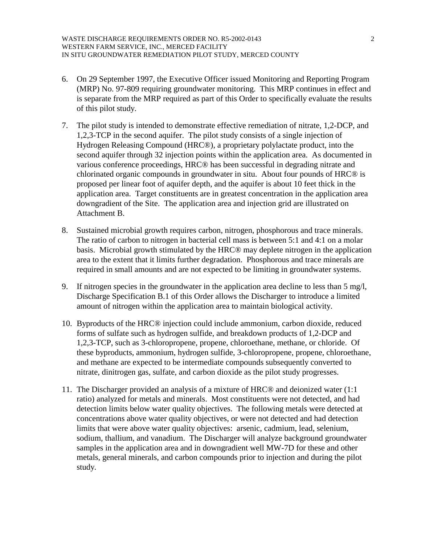- 6. On 29 September 1997, the Executive Officer issued Monitoring and Reporting Program (MRP) No. 97-809 requiring groundwater monitoring. This MRP continues in effect and is separate from the MRP required as part of this Order to specifically evaluate the results of this pilot study.
- 7. The pilot study is intended to demonstrate effective remediation of nitrate, 1,2-DCP, and 1,2,3-TCP in the second aquifer. The pilot study consists of a single injection of Hydrogen Releasing Compound (HRC®), a proprietary polylactate product, into the second aquifer through 32 injection points within the application area. As documented in various conference proceedings, HRC® has been successful in degrading nitrate and chlorinated organic compounds in groundwater in situ. About four pounds of HRC® is proposed per linear foot of aquifer depth, and the aquifer is about 10 feet thick in the application area. Target constituents are in greatest concentration in the application area downgradient of the Site. The application area and injection grid are illustrated on Attachment B.
- 8. Sustained microbial growth requires carbon, nitrogen, phosphorous and trace minerals. The ratio of carbon to nitrogen in bacterial cell mass is between 5:1 and 4:1 on a molar basis. Microbial growth stimulated by the HRC® may deplete nitrogen in the application area to the extent that it limits further degradation. Phosphorous and trace minerals are required in small amounts and are not expected to be limiting in groundwater systems.
- 9. If nitrogen species in the groundwater in the application area decline to less than 5 mg/l, Discharge Specification B.1 of this Order allows the Discharger to introduce a limited amount of nitrogen within the application area to maintain biological activity.
- 10. Byproducts of the HRC® injection could include ammonium, carbon dioxide, reduced forms of sulfate such as hydrogen sulfide, and breakdown products of 1,2-DCP and 1,2,3-TCP, such as 3-chloropropene, propene, chloroethane, methane, or chloride. Of these byproducts, ammonium, hydrogen sulfide, 3-chloropropene, propene, chloroethane, and methane are expected to be intermediate compounds subsequently converted to nitrate, dinitrogen gas, sulfate, and carbon dioxide as the pilot study progresses.
- 11. The Discharger provided an analysis of a mixture of HRC® and deionized water (1:1 ratio) analyzed for metals and minerals. Most constituents were not detected, and had detection limits below water quality objectives. The following metals were detected at concentrations above water quality objectives, or were not detected and had detection limits that were above water quality objectives: arsenic, cadmium, lead, selenium, sodium, thallium, and vanadium. The Discharger will analyze background groundwater samples in the application area and in downgradient well MW-7D for these and other metals, general minerals, and carbon compounds prior to injection and during the pilot study.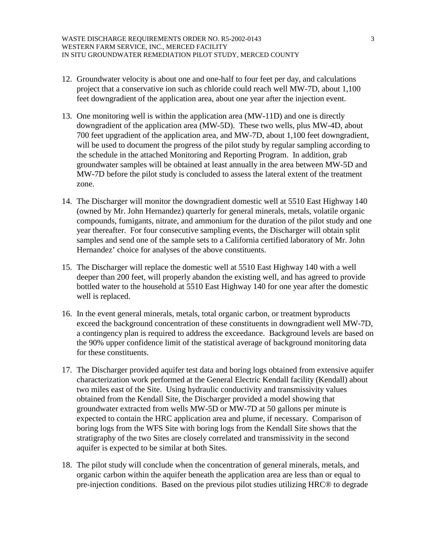- 12. Groundwater velocity is about one and one-half to four feet per day, and calculations project that a conservative ion such as chloride could reach well MW-7D, about 1,100 feet downgradient of the application area, about one year after the injection event.
- 13. One monitoring well is within the application area (MW-11D) and one is directly downgradient of the application area (MW-5D). These two wells, plus MW-4D, about 700 feet upgradient of the application area, and MW-7D, about 1,100 feet downgradient, will be used to document the progress of the pilot study by regular sampling according to the schedule in the attached Monitoring and Reporting Program. In addition, grab groundwater samples will be obtained at least annually in the area between MW-5D and MW-7D before the pilot study is concluded to assess the lateral extent of the treatment zone.
- 14. The Discharger will monitor the downgradient domestic well at 5510 East Highway 140 (owned by Mr. John Hernandez) quarterly for general minerals, metals, volatile organic compounds, fumigants, nitrate, and ammonium for the duration of the pilot study and one year thereafter. For four consecutive sampling events, the Discharger will obtain split samples and send one of the sample sets to a California certified laboratory of Mr. John Hernandez' choice for analyses of the above constituents.
- 15. The Discharger will replace the domestic well at 5510 East Highway 140 with a well deeper than 200 feet, will properly abandon the existing well, and has agreed to provide bottled water to the household at 5510 East Highway 140 for one year after the domestic well is replaced.
- 16. In the event general minerals, metals, total organic carbon, or treatment byproducts exceed the background concentration of these constituents in downgradient well MW-7D, a contingency plan is required to address the exceedance. Background levels are based on the 90% upper confidence limit of the statistical average of background monitoring data for these constituents.
- 17. The Discharger provided aquifer test data and boring logs obtained from extensive aquifer characterization work performed at the General Electric Kendall facility (Kendall) about two miles east of the Site. Using hydraulic conductivity and transmissivity values obtained from the Kendall Site, the Discharger provided a model showing that groundwater extracted from wells MW-5D or MW-7D at 50 gallons per minute is expected to contain the HRC application area and plume, if necessary. Comparison of boring logs from the WFS Site with boring logs from the Kendall Site shows that the stratigraphy of the two Sites are closely correlated and transmissivity in the second aquifer is expected to be similar at both Sites.
- 18. The pilot study will conclude when the concentration of general minerals, metals, and organic carbon within the aquifer beneath the application area are less than or equal to pre-injection conditions. Based on the previous pilot studies utilizing HRC® to degrade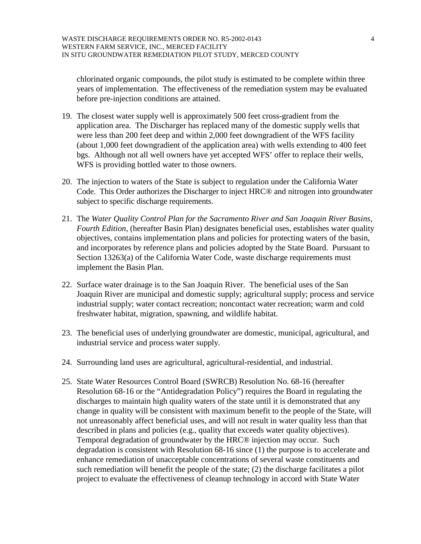chlorinated organic compounds, the pilot study is estimated to be complete within three years of implementation. The effectiveness of the remediation system may be evaluated before pre-injection conditions are attained.

- 19. The closest water supply well is approximately 500 feet cross-gradient from the application area. The Discharger has replaced many of the domestic supply wells that were less than 200 feet deep and within 2,000 feet downgradient of the WFS facility (about 1,000 feet downgradient of the application area) with wells extending to 400 feet bgs. Although not all well owners have yet accepted WFS' offer to replace their wells, WFS is providing bottled water to those owners.
- 20. The injection to waters of the State is subject to regulation under the California Water Code. This Order authorizes the Discharger to inject HRC® and nitrogen into groundwater subject to specific discharge requirements.
- 21. The *Water Quality Control Plan for the Sacramento River and San Joaquin River Basins, Fourth Edition,* (hereafter Basin Plan) designates beneficial uses, establishes water quality objectives, contains implementation plans and policies for protecting waters of the basin, and incorporates by reference plans and policies adopted by the State Board. Pursuant to Section 13263(a) of the California Water Code, waste discharge requirements must implement the Basin Plan.
- 22. Surface water drainage is to the San Joaquin River. The beneficial uses of the San Joaquin River are municipal and domestic supply; agricultural supply; process and service industrial supply; water contact recreation; noncontact water recreation; warm and cold freshwater habitat, migration, spawning, and wildlife habitat.
- 23. The beneficial uses of underlying groundwater are domestic, municipal, agricultural, and industrial service and process water supply.
- 24. Surrounding land uses are agricultural, agricultural-residential, and industrial.
- 25. State Water Resources Control Board (SWRCB) Resolution No. 68-16 (hereafter Resolution 68-16 or the "Antidegradation Policy") requires the Board in regulating the discharges to maintain high quality waters of the state until it is demonstrated that any change in quality will be consistent with maximum benefit to the people of the State, will not unreasonably affect beneficial uses, and will not result in water quality less than that described in plans and policies (e.g., quality that exceeds water quality objectives). Temporal degradation of groundwater by the HRC® injection may occur. Such degradation is consistent with Resolution 68-16 since (1) the purpose is to accelerate and enhance remediation of unacceptable concentrations of several waste constituents and such remediation will benefit the people of the state; (2) the discharge facilitates a pilot project to evaluate the effectiveness of cleanup technology in accord with State Water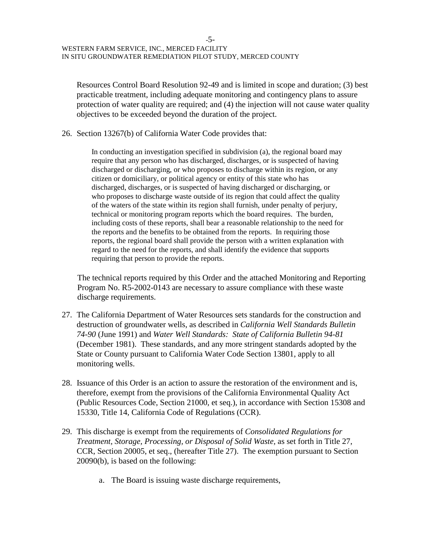Resources Control Board Resolution 92-49 and is limited in scope and duration; (3) best practicable treatment, including adequate monitoring and contingency plans to assure protection of water quality are required; and (4) the injection will not cause water quality objectives to be exceeded beyond the duration of the project.

26. Section 13267(b) of California Water Code provides that:

In conducting an investigation specified in subdivision (a), the regional board may require that any person who has discharged, discharges, or is suspected of having discharged or discharging, or who proposes to discharge within its region, or any citizen or domiciliary, or political agency or entity of this state who has discharged, discharges, or is suspected of having discharged or discharging, or who proposes to discharge waste outside of its region that could affect the quality of the waters of the state within its region shall furnish, under penalty of perjury, technical or monitoring program reports which the board requires. The burden, including costs of these reports, shall bear a reasonable relationship to the need for the reports and the benefits to be obtained from the reports. In requiring those reports, the regional board shall provide the person with a written explanation with regard to the need for the reports, and shall identify the evidence that supports requiring that person to provide the reports.

The technical reports required by this Order and the attached Monitoring and Reporting Program No. R5-2002-0143 are necessary to assure compliance with these waste discharge requirements.

- 27. The California Department of Water Resources sets standards for the construction and destruction of groundwater wells, as described in *California Well Standards Bulletin 74-90* (June 1991) and *Water Well Standards: State of California Bulletin 94-81* (December 1981). These standards, and any more stringent standards adopted by the State or County pursuant to California Water Code Section 13801, apply to all monitoring wells.
- 28. Issuance of this Order is an action to assure the restoration of the environment and is, therefore, exempt from the provisions of the California Environmental Quality Act (Public Resources Code, Section 21000, et seq.), in accordance with Section 15308 and 15330, Title 14, California Code of Regulations (CCR).
- 29. This discharge is exempt from the requirements of *Consolidated Regulations for Treatment, Storage, Processing, or Disposal of Solid Waste,* as set forth in Title 27, CCR, Section 20005, et seq., (hereafter Title 27). The exemption pursuant to Section 20090(b), is based on the following:
	- a. The Board is issuing waste discharge requirements,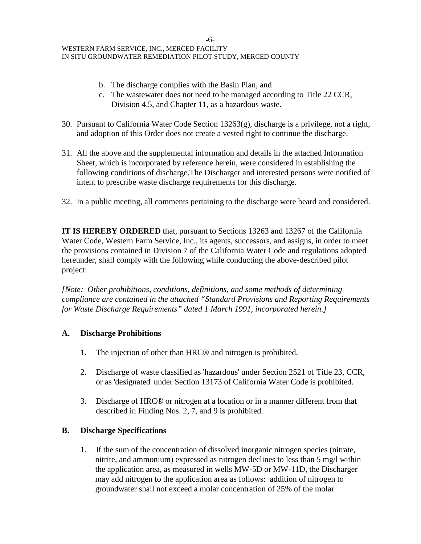-6- WESTERN FARM SERVICE, INC., MERCED FACILITY IN SITU GROUNDWATER REMEDIATION PILOT STUDY, MERCED COUNTY

- b. The discharge complies with the Basin Plan, and
- c. The wastewater does not need to be managed according to Title 22 CCR, Division 4.5, and Chapter 11, as a hazardous waste.
- 30. Pursuant to California Water Code Section 13263(g), discharge is a privilege, not a right, and adoption of this Order does not create a vested right to continue the discharge.
- 31. All the above and the supplemental information and details in the attached Information Sheet, which is incorporated by reference herein, were considered in establishing the following conditions of discharge.The Discharger and interested persons were notified of intent to prescribe waste discharge requirements for this discharge.
- 32. In a public meeting, all comments pertaining to the discharge were heard and considered.

**IT IS HEREBY ORDERED** that, pursuant to Sections 13263 and 13267 of the California Water Code, Western Farm Service, Inc., its agents, successors, and assigns, in order to meet the provisions contained in Division 7 of the California Water Code and regulations adopted hereunder, shall comply with the following while conducting the above-described pilot project:

*[Note: Other prohibitions, conditions, definitions, and some methods of determining compliance are contained in the attached "Standard Provisions and Reporting Requirements for Waste Discharge Requirements" dated 1 March 1991, incorporated herein.]* 

### **A. Discharge Prohibitions**

- 1. The injection of other than HRC® and nitrogen is prohibited.
- 2. Discharge of waste classified as 'hazardous' under Section 2521 of Title 23, CCR, or as 'designated' under Section 13173 of California Water Code is prohibited.
- 3. Discharge of HRC® or nitrogen at a location or in a manner different from that described in Finding Nos. 2, 7, and 9 is prohibited.

# **B. Discharge Specifications**

1. If the sum of the concentration of dissolved inorganic nitrogen species (nitrate, nitrite, and ammonium) expressed as nitrogen declines to less than 5 mg/l within the application area, as measured in wells MW-5D or MW-11D, the Discharger may add nitrogen to the application area as follows: addition of nitrogen to groundwater shall not exceed a molar concentration of 25% of the molar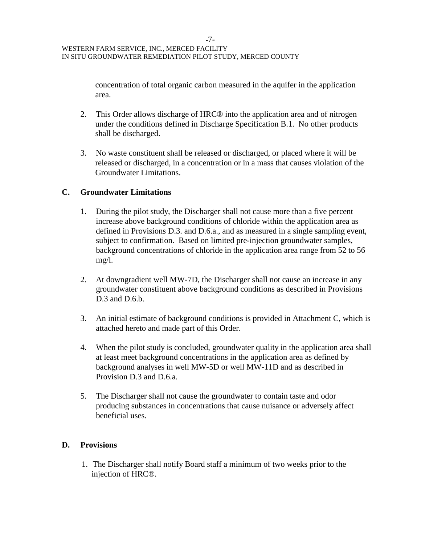concentration of total organic carbon measured in the aquifer in the application area.

- 2. This Order allows discharge of HRC® into the application area and of nitrogen under the conditions defined in Discharge Specification B.1. No other products shall be discharged.
- 3. No waste constituent shall be released or discharged, or placed where it will be released or discharged, in a concentration or in a mass that causes violation of the Groundwater Limitations.

# **C. Groundwater Limitations**

- 1. During the pilot study, the Discharger shall not cause more than a five percent increase above background conditions of chloride within the application area as defined in Provisions D.3. and D.6.a., and as measured in a single sampling event, subject to confirmation. Based on limited pre-injection groundwater samples, background concentrations of chloride in the application area range from 52 to 56 mg/l.
- 2. At downgradient well MW-7D, the Discharger shall not cause an increase in any groundwater constituent above background conditions as described in Provisions D.3 and D.6.b.
- 3. An initial estimate of background conditions is provided in Attachment C, which is attached hereto and made part of this Order.
- 4. When the pilot study is concluded, groundwater quality in the application area shall at least meet background concentrations in the application area as defined by background analyses in well MW-5D or well MW-11D and as described in Provision D.3 and D.6.a.
- 5. The Discharger shall not cause the groundwater to contain taste and odor producing substances in concentrations that cause nuisance or adversely affect beneficial uses.

# **D. Provisions**

1. The Discharger shall notify Board staff a minimum of two weeks prior to the injection of HRC®.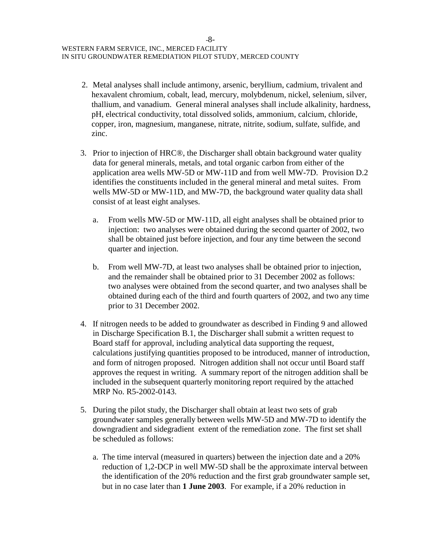- 2. Metal analyses shall include antimony, arsenic, beryllium, cadmium, trivalent and hexavalent chromium, cobalt, lead, mercury, molybdenum, nickel, selenium, silver, thallium, and vanadium. General mineral analyses shall include alkalinity, hardness, pH, electrical conductivity, total dissolved solids, ammonium, calcium, chloride, copper, iron, magnesium, manganese, nitrate, nitrite, sodium, sulfate, sulfide, and zinc.
- 3. Prior to injection of HRC®, the Discharger shall obtain background water quality data for general minerals, metals, and total organic carbon from either of the application area wells MW-5D or MW-11D and from well MW-7D. Provision D.2 identifies the constituents included in the general mineral and metal suites. From wells MW-5D or MW-11D, and MW-7D, the background water quality data shall consist of at least eight analyses.
	- a. From wells MW-5D or MW-11D, all eight analyses shall be obtained prior to injection: two analyses were obtained during the second quarter of 2002, two shall be obtained just before injection, and four any time between the second quarter and injection.
	- b. From well MW-7D, at least two analyses shall be obtained prior to injection, and the remainder shall be obtained prior to 31 December 2002 as follows: two analyses were obtained from the second quarter, and two analyses shall be obtained during each of the third and fourth quarters of 2002, and two any time prior to 31 December 2002.
- 4. If nitrogen needs to be added to groundwater as described in Finding 9 and allowed in Discharge Specification B.1, the Discharger shall submit a written request to Board staff for approval, including analytical data supporting the request, calculations justifying quantities proposed to be introduced, manner of introduction, and form of nitrogen proposed. Nitrogen addition shall not occur until Board staff approves the request in writing. A summary report of the nitrogen addition shall be included in the subsequent quarterly monitoring report required by the attached MRP No. R5-2002-0143.
- 5. During the pilot study, the Discharger shall obtain at least two sets of grab groundwater samples generally between wells MW-5D and MW-7D to identify the downgradient and sidegradient extent of the remediation zone. The first set shall be scheduled as follows:
	- a. The time interval (measured in quarters) between the injection date and a 20% reduction of 1,2-DCP in well MW-5D shall be the approximate interval between the identification of the 20% reduction and the first grab groundwater sample set, but in no case later than **1 June 2003**. For example, if a 20% reduction in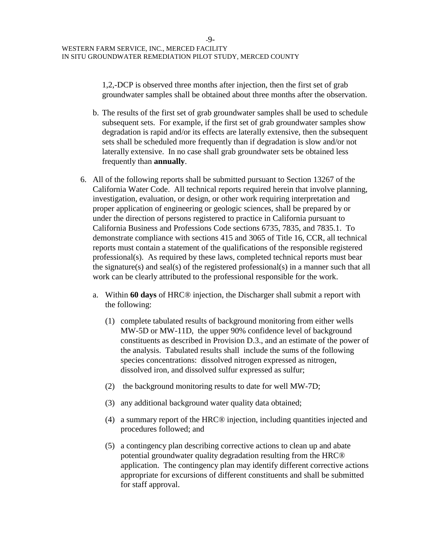1,2,-DCP is observed three months after injection, then the first set of grab groundwater samples shall be obtained about three months after the observation.

- b. The results of the first set of grab groundwater samples shall be used to schedule subsequent sets. For example, if the first set of grab groundwater samples show degradation is rapid and/or its effects are laterally extensive, then the subsequent sets shall be scheduled more frequently than if degradation is slow and/or not laterally extensive. In no case shall grab groundwater sets be obtained less frequently than **annually**.
- 6. All of the following reports shall be submitted pursuant to Section 13267 of the California Water Code. All technical reports required herein that involve planning, investigation, evaluation, or design, or other work requiring interpretation and proper application of engineering or geologic sciences, shall be prepared by or under the direction of persons registered to practice in California pursuant to California Business and Professions Code sections 6735, 7835, and 7835.1. To demonstrate compliance with sections 415 and 3065 of Title 16, CCR, all technical reports must contain a statement of the qualifications of the responsible registered professional(s). As required by these laws, completed technical reports must bear the signature(s) and seal(s) of the registered professional(s) in a manner such that all work can be clearly attributed to the professional responsible for the work.
	- a. Within **60 days** of HRC® injection, the Discharger shall submit a report with the following:
		- (1) complete tabulated results of background monitoring from either wells MW-5D or MW-11D, the upper 90% confidence level of background constituents as described in Provision D.3., and an estimate of the power of the analysis. Tabulated results shall include the sums of the following species concentrations: dissolved nitrogen expressed as nitrogen, dissolved iron, and dissolved sulfur expressed as sulfur;
		- (2) the background monitoring results to date for well MW-7D;
		- (3) any additional background water quality data obtained;
		- (4) a summary report of the HRC® injection, including quantities injected and procedures followed; and
		- (5) a contingency plan describing corrective actions to clean up and abate potential groundwater quality degradation resulting from the HRC® application. The contingency plan may identify different corrective actions appropriate for excursions of different constituents and shall be submitted for staff approval.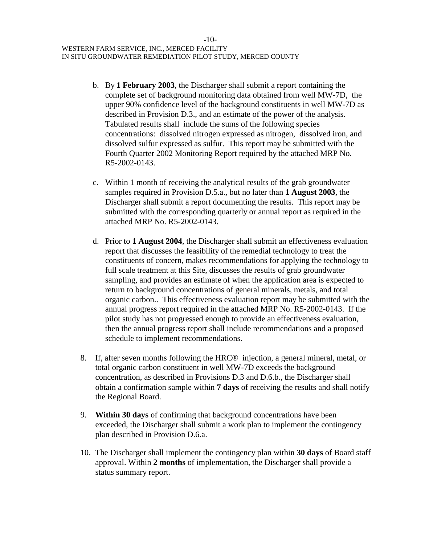- b. By **1 February 2003**, the Discharger shall submit a report containing the complete set of background monitoring data obtained from well MW-7D, the upper 90% confidence level of the background constituents in well MW-7D as described in Provision D.3., and an estimate of the power of the analysis. Tabulated results shall include the sums of the following species concentrations: dissolved nitrogen expressed as nitrogen, dissolved iron, and dissolved sulfur expressed as sulfur. This report may be submitted with the Fourth Quarter 2002 Monitoring Report required by the attached MRP No. R5-2002-0143.
- c. Within 1 month of receiving the analytical results of the grab groundwater samples required in Provision D.5.a., but no later than **1 August 2003**, the Discharger shall submit a report documenting the results. This report may be submitted with the corresponding quarterly or annual report as required in the attached MRP No. R5-2002-0143.
- d. Prior to **1 August 2004**, the Discharger shall submit an effectiveness evaluation report that discusses the feasibility of the remedial technology to treat the constituents of concern, makes recommendations for applying the technology to full scale treatment at this Site, discusses the results of grab groundwater sampling, and provides an estimate of when the application area is expected to return to background concentrations of general minerals, metals, and total organic carbon.. This effectiveness evaluation report may be submitted with the annual progress report required in the attached MRP No. R5-2002-0143. If the pilot study has not progressed enough to provide an effectiveness evaluation, then the annual progress report shall include recommendations and a proposed schedule to implement recommendations.
- 8. If, after seven months following the HRC® injection, a general mineral, metal, or total organic carbon constituent in well MW-7D exceeds the background concentration, as described in Provisions D.3 and D.6.b., the Discharger shall obtain a confirmation sample within **7 days** of receiving the results and shall notify the Regional Board.
- 9. **Within 30 days** of confirming that background concentrations have been exceeded, the Discharger shall submit a work plan to implement the contingency plan described in Provision D.6.a.
- 10. The Discharger shall implement the contingency plan within **30 days** of Board staff approval. Within **2 months** of implementation, the Discharger shall provide a status summary report.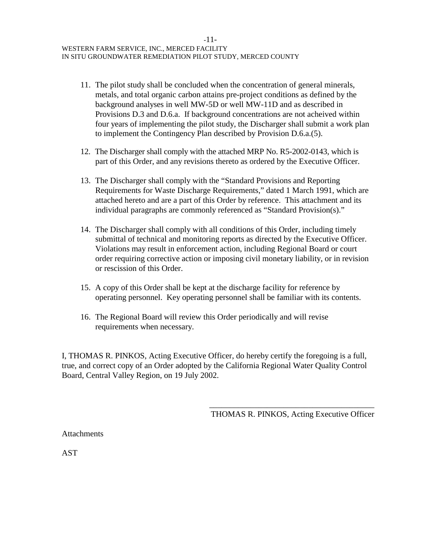- 11. The pilot study shall be concluded when the concentration of general minerals, metals, and total organic carbon attains pre-project conditions as defined by the background analyses in well MW-5D or well MW-11D and as described in Provisions D.3 and D.6.a. If background concentrations are not acheived within four years of implementing the pilot study, the Discharger shall submit a work plan to implement the Contingency Plan described by Provision D.6.a.(5).
- 12. The Discharger shall comply with the attached MRP No. R5-2002-0143, which is part of this Order, and any revisions thereto as ordered by the Executive Officer.
- 13. The Discharger shall comply with the "Standard Provisions and Reporting Requirements for Waste Discharge Requirements," dated 1 March 1991, which are attached hereto and are a part of this Order by reference. This attachment and its individual paragraphs are commonly referenced as "Standard Provision(s)."
- 14. The Discharger shall comply with all conditions of this Order, including timely submittal of technical and monitoring reports as directed by the Executive Officer. Violations may result in enforcement action, including Regional Board or court order requiring corrective action or imposing civil monetary liability, or in revision or rescission of this Order.
- 15. A copy of this Order shall be kept at the discharge facility for reference by operating personnel. Key operating personnel shall be familiar with its contents.
- 16. The Regional Board will review this Order periodically and will revise requirements when necessary.

I, THOMAS R. PINKOS, Acting Executive Officer, do hereby certify the foregoing is a full, true, and correct copy of an Order adopted by the California Regional Water Quality Control Board, Central Valley Region, on 19 July 2002.

> \_\_\_\_\_\_\_\_\_\_\_\_\_\_\_\_\_\_\_\_\_\_\_\_\_\_\_\_\_\_\_\_\_\_\_\_\_\_\_\_ THOMAS R. PINKOS, Acting Executive Officer

**Attachments** 

AST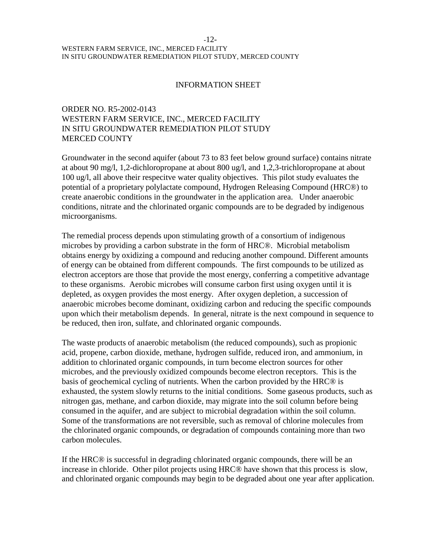#### -12- WESTERN FARM SERVICE, INC., MERCED FACILITY IN SITU GROUNDWATER REMEDIATION PILOT STUDY, MERCED COUNTY

#### INFORMATION SHEET

## ORDER NO. R5-2002-0143 WESTERN FARM SERVICE, INC., MERCED FACILITY IN SITU GROUNDWATER REMEDIATION PILOT STUDY MERCED COUNTY

Groundwater in the second aquifer (about 73 to 83 feet below ground surface) contains nitrate at about 90 mg/l, 1,2-dichloropropane at about 800 ug/l, and 1,2,3-trichloropropane at about 100 ug/l, all above their respecitve water quality objectives. This pilot study evaluates the potential of a proprietary polylactate compound, Hydrogen Releasing Compound (HRC®) to create anaerobic conditions in the groundwater in the application area. Under anaerobic conditions, nitrate and the chlorinated organic compounds are to be degraded by indigenous microorganisms.

The remedial process depends upon stimulating growth of a consortium of indigenous microbes by providing a carbon substrate in the form of HRC®. Microbial metabolism obtains energy by oxidizing a compound and reducing another compound. Different amounts of energy can be obtained from different compounds. The first compounds to be utilized as electron acceptors are those that provide the most energy, conferring a competitive advantage to these organisms. Aerobic microbes will consume carbon first using oxygen until it is depleted, as oxygen provides the most energy. After oxygen depletion, a succession of anaerobic microbes become dominant, oxidizing carbon and reducing the specific compounds upon which their metabolism depends. In general, nitrate is the next compound in sequence to be reduced, then iron, sulfate, and chlorinated organic compounds.

The waste products of anaerobic metabolism (the reduced compounds), such as propionic acid, propene, carbon dioxide, methane, hydrogen sulfide, reduced iron, and ammonium, in addition to chlorinated organic compounds, in turn become electron sources for other microbes, and the previously oxidized compounds become electron receptors. This is the basis of geochemical cycling of nutrients. When the carbon provided by the HRC® is exhausted, the system slowly returns to the initial conditions. Some gaseous products, such as nitrogen gas, methane, and carbon dioxide, may migrate into the soil column before being consumed in the aquifer, and are subject to microbial degradation within the soil column. Some of the transformations are not reversible, such as removal of chlorine molecules from the chlorinated organic compounds, or degradation of compounds containing more than two carbon molecules.

If the HRC® is successful in degrading chlorinated organic compounds, there will be an increase in chloride. Other pilot projects using HRC® have shown that this process is slow, and chlorinated organic compounds may begin to be degraded about one year after application.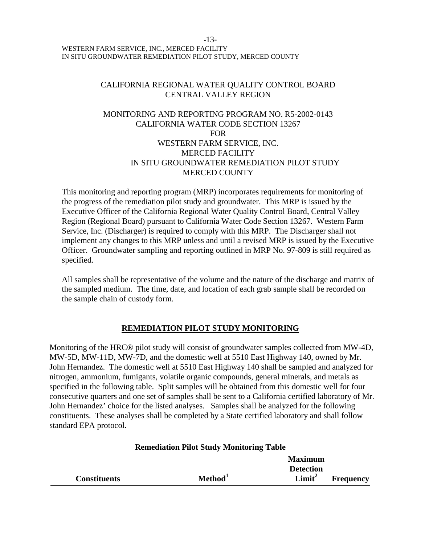#### -13- WESTERN FARM SERVICE, INC., MERCED FACILITY IN SITU GROUNDWATER REMEDIATION PILOT STUDY, MERCED COUNTY

### CALIFORNIA REGIONAL WATER QUALITY CONTROL BOARD CENTRAL VALLEY REGION

## MONITORING AND REPORTING PROGRAM NO. R5-2002-0143 CALIFORNIA WATER CODE SECTION 13267 FOR WESTERN FARM SERVICE, INC. MERCED FACILITY IN SITU GROUNDWATER REMEDIATION PILOT STUDY MERCED COUNTY

This monitoring and reporting program (MRP) incorporates requirements for monitoring of the progress of the remediation pilot study and groundwater. This MRP is issued by the Executive Officer of the California Regional Water Quality Control Board, Central Valley Region (Regional Board) pursuant to California Water Code Section 13267. Western Farm Service, Inc. (Discharger) is required to comply with this MRP. The Discharger shall not implement any changes to this MRP unless and until a revised MRP is issued by the Executive Officer. Groundwater sampling and reporting outlined in MRP No. 97-809 is still required as specified.

All samples shall be representative of the volume and the nature of the discharge and matrix of the sampled medium. The time, date, and location of each grab sample shall be recorded on the sample chain of custody form.

# **REMEDIATION PILOT STUDY MONITORING**

Monitoring of the HRC® pilot study will consist of groundwater samples collected from MW-4D, MW-5D, MW-11D, MW-7D, and the domestic well at 5510 East Highway 140, owned by Mr. John Hernandez. The domestic well at 5510 East Highway 140 shall be sampled and analyzed for nitrogen, ammonium, fumigants, volatile organic compounds, general minerals, and metals as specified in the following table. Split samples will be obtained from this domestic well for four consecutive quarters and one set of samples shall be sent to a California certified laboratory of Mr. John Hernandez' choice for the listed analyses. Samples shall be analyzed for the following constituents. These analyses shall be completed by a State certified laboratory and shall follow standard EPA protocol.

| <b>Remeatation 1 not bludy monitoring Table</b> |                     |                    |                  |  |
|-------------------------------------------------|---------------------|--------------------|------------------|--|
|                                                 |                     | <b>Maximum</b>     |                  |  |
|                                                 |                     | <b>Detection</b>   |                  |  |
| <b>Constituents</b>                             | Method <sup>1</sup> | Limit <sup>2</sup> | <b>Frequency</b> |  |

# **Remediation Pilot Study Monitoring Table**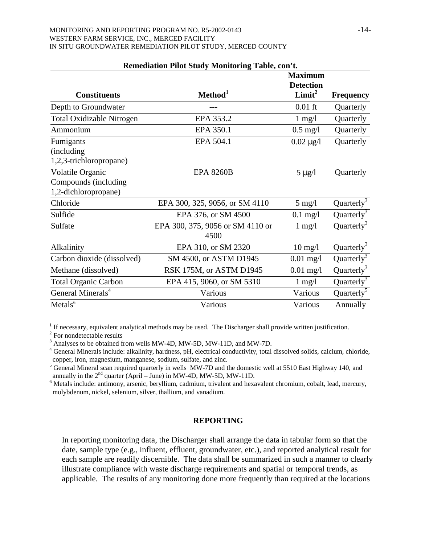#### MONITORING AND REPORTING PROGRAM NO. R5-2002-0143  $-14-$ WESTERN FARM SERVICE, INC., MERCED FACILITY IN SITU GROUNDWATER REMEDIATION PILOT STUDY, MERCED COUNTY

|                                  | Keniculation I not bludy tribintoring Table, con t. | <b>Maximum</b>     |                        |
|----------------------------------|-----------------------------------------------------|--------------------|------------------------|
|                                  |                                                     | <b>Detection</b>   |                        |
| <b>Constituents</b>              | Method <sup>1</sup>                                 | Limit <sup>2</sup> | <b>Frequency</b>       |
| Depth to Groundwater             | $---$                                               | $0.01$ ft          | Quarterly              |
| <b>Total Oxidizable Nitrogen</b> | EPA 353.2                                           | $1 \text{ mg}/1$   | Quarterly              |
| Ammonium                         | EPA 350.1                                           | $0.5$ mg/l         | Quarterly              |
| Fumigants                        | EPA 504.1                                           | $0.02 \mu g/l$     | Quarterly              |
| (including)                      |                                                     |                    |                        |
| 1,2,3-trichloropropane)          |                                                     |                    |                        |
| Volatile Organic                 | <b>EPA 8260B</b>                                    | $5 \mu g/l$        | Quarterly              |
| Compounds (including             |                                                     |                    |                        |
| 1,2-dichloropropane)             |                                                     |                    |                        |
| Chloride                         | EPA 300, 325, 9056, or SM 4110                      | $5 \text{ mg}/l$   | Quarterly <sup>3</sup> |
| Sulfide                          | EPA 376, or SM 4500                                 | $0.1$ mg/l         | Quarterly $3$          |
| Sulfate                          | EPA 300, 375, 9056 or SM 4110 or                    | $1 \text{ mg}/1$   | Quarterly <sup>3</sup> |
|                                  | 4500                                                |                    |                        |
| Alkalinity                       | EPA 310, or SM 2320                                 | $10 \text{ mg/l}$  | Quarterly $3$          |
| Carbon dioxide (dissolved)       | SM 4500, or ASTM D1945                              | $0.01$ mg/l        | Quarterly <sup>3</sup> |
| Methane (dissolved)              | RSK 175M, or ASTM D1945                             | $0.01$ mg/l        | Quarterly <sup>3</sup> |
| <b>Total Organic Carbon</b>      | EPA 415, 9060, or SM 5310                           | $1 \text{ mg}/1$   | Quarterly <sup>3</sup> |
| General Minerals <sup>4</sup>    | Various                                             | Various            | Quarterly <sup>5</sup> |
| Metals <sup>6</sup>              | Various                                             | Various            | Annually               |

# **Remediation Pilot Study Monitoring Table, con't.**

 $<sup>1</sup>$  If necessary, equivalent analytical methods may be used. The Discharger shall provide written justification.</sup>

2 For nondetectable results

 $3$  Analyses to be obtained from wells MW-4D, MW-5D, MW-11D, and MW-7D.

<sup>4</sup> General Minerals include: alkalinity, hardness, pH, electrical conductivity, total dissolved solids, calcium, chloride, copper, iron, magnesium, manganese, sodium, sulfate, and zinc.

<sup>5</sup> General Mineral scan required quarterly in wells MW-7D and the domestic well at 5510 East Highway 140, and annually in the  $2<sup>nd</sup>$  quarter (April – June) in MW-4D, MW-5D, MW-11D.

<sup>6</sup> Metals include: antimony, arsenic, beryllium, cadmium, trivalent and hexavalent chromium, cobalt, lead, mercury, molybdenum, nickel, selenium, silver, thallium, and vanadium.

### **REPORTING**

In reporting monitoring data, the Discharger shall arrange the data in tabular form so that the date, sample type (e.g., influent, effluent, groundwater, etc.), and reported analytical result for each sample are readily discernible. The data shall be summarized in such a manner to clearly illustrate compliance with waste discharge requirements and spatial or temporal trends, as applicable. The results of any monitoring done more frequently than required at the locations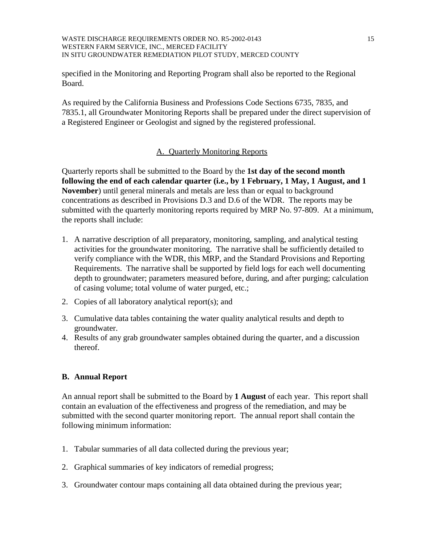#### WASTE DISCHARGE REQUIREMENTS ORDER NO. R5-2002-0143 15 WESTERN FARM SERVICE, INC., MERCED FACILITY IN SITU GROUNDWATER REMEDIATION PILOT STUDY, MERCED COUNTY

specified in the Monitoring and Reporting Program shall also be reported to the Regional Board.

As required by the California Business and Professions Code Sections 6735, 7835, and 7835.1, all Groundwater Monitoring Reports shall be prepared under the direct supervision of a Registered Engineer or Geologist and signed by the registered professional.

## A. Quarterly Monitoring Reports

Quarterly reports shall be submitted to the Board by the **1st day of the second month following the end of each calendar quarter (i.e., by 1 February, 1 May, 1 August, and 1 November**) until general minerals and metals are less than or equal to background concentrations as described in Provisions D.3 and D.6 of the WDR. The reports may be submitted with the quarterly monitoring reports required by MRP No. 97-809. At a minimum, the reports shall include:

- 1. A narrative description of all preparatory, monitoring, sampling, and analytical testing activities for the groundwater monitoring. The narrative shall be sufficiently detailed to verify compliance with the WDR, this MRP, and the Standard Provisions and Reporting Requirements. The narrative shall be supported by field logs for each well documenting depth to groundwater; parameters measured before, during, and after purging; calculation of casing volume; total volume of water purged, etc.;
- 2. Copies of all laboratory analytical report(s); and
- 3. Cumulative data tables containing the water quality analytical results and depth to groundwater.
- 4. Results of any grab groundwater samples obtained during the quarter, and a discussion thereof.

### **B. Annual Report**

An annual report shall be submitted to the Board by **1 August** of each year. This report shall contain an evaluation of the effectiveness and progress of the remediation, and may be submitted with the second quarter monitoring report. The annual report shall contain the following minimum information:

- 1. Tabular summaries of all data collected during the previous year;
- 2. Graphical summaries of key indicators of remedial progress;
- 3. Groundwater contour maps containing all data obtained during the previous year;